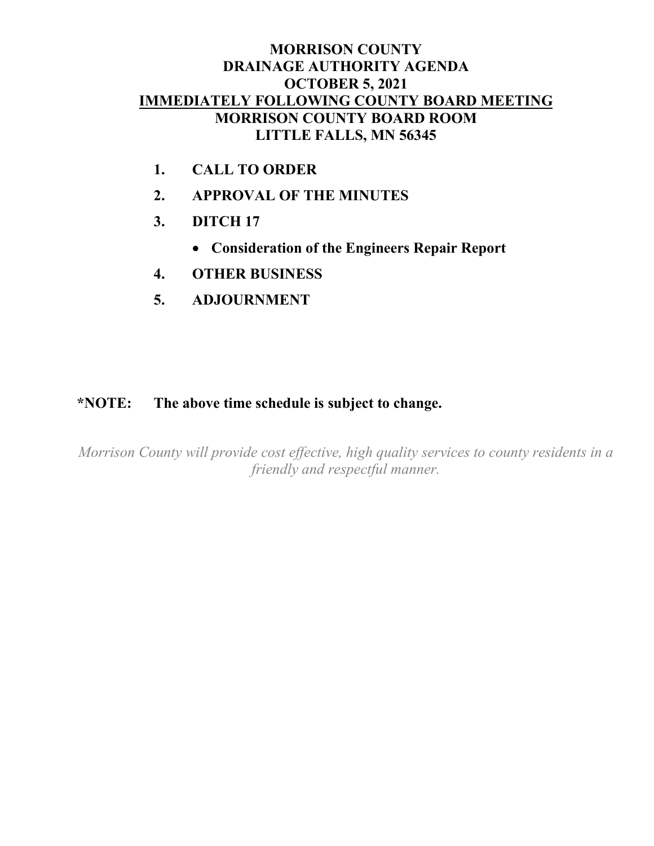# **MORRISON COUNTY DRAINAGE AUTHORITY AGENDA OCTOBER 5, 2021 IMMEDIATELY FOLLOWING COUNTY BOARD MEETING MORRISON COUNTY BOARD ROOM LITTLE FALLS, MN 56345**

- **1. CALL TO ORDER**
- **2. APPROVAL OF THE MINUTES**
- **3. DITCH 17**
	- **Consideration of the Engineers Repair Report**
- **4. OTHER BUSINESS**
- **5. ADJOURNMENT**

# **\*NOTE: The above time schedule is subject to change.**

*Morrison County will provide cost effective, high quality services to county residents in a friendly and respectful manner.*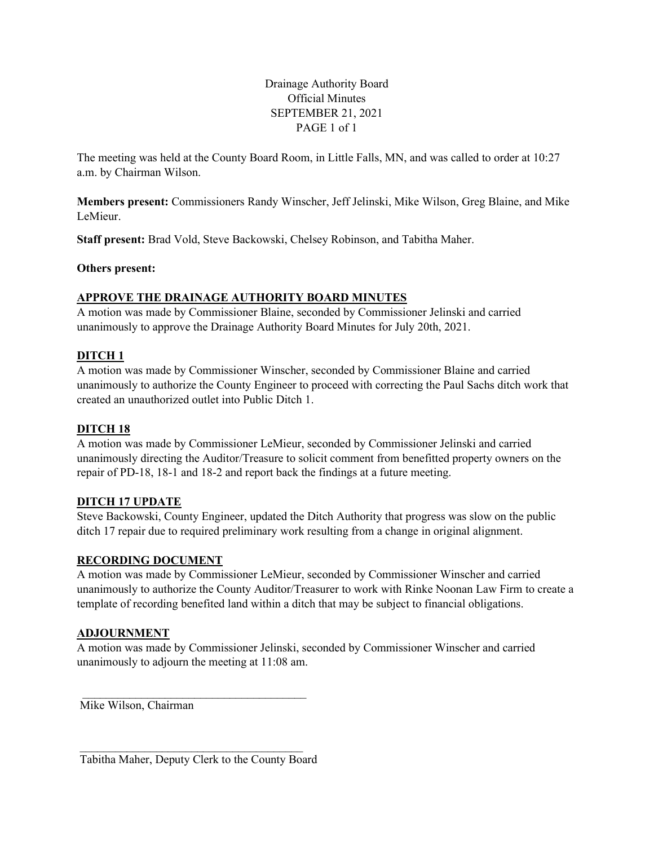Drainage Authority Board Official Minutes SEPTEMBER 21, 2021 PAGE 1 of 1

The meeting was held at the County Board Room, in Little Falls, MN, and was called to order at 10:27 a.m. by Chairman Wilson.

**Members present:** Commissioners Randy Winscher, Jeff Jelinski, Mike Wilson, Greg Blaine, and Mike LeMieur.

**Staff present:** Brad Vold, Steve Backowski, Chelsey Robinson, and Tabitha Maher.

**Others present:**

### **APPROVE THE DRAINAGE AUTHORITY BOARD MINUTES**

A motion was made by Commissioner Blaine, seconded by Commissioner Jelinski and carried unanimously to approve the Drainage Authority Board Minutes for July 20th, 2021.

### **DITCH 1**

A motion was made by Commissioner Winscher, seconded by Commissioner Blaine and carried unanimously to authorize the County Engineer to proceed with correcting the Paul Sachs ditch work that created an unauthorized outlet into Public Ditch 1.

### **DITCH 18**

A motion was made by Commissioner LeMieur, seconded by Commissioner Jelinski and carried unanimously directing the Auditor/Treasure to solicit comment from benefitted property owners on the repair of PD-18, 18-1 and 18-2 and report back the findings at a future meeting.

### **DITCH 17 UPDATE**

Steve Backowski, County Engineer, updated the Ditch Authority that progress was slow on the public ditch 17 repair due to required preliminary work resulting from a change in original alignment.

### **RECORDING DOCUMENT**

A motion was made by Commissioner LeMieur, seconded by Commissioner Winscher and carried unanimously to authorize the County Auditor/Treasurer to work with Rinke Noonan Law Firm to create a template of recording benefited land within a ditch that may be subject to financial obligations.

#### **ADJOURNMENT**

A motion was made by Commissioner Jelinski, seconded by Commissioner Winscher and carried unanimously to adjourn the meeting at 11:08 am.

Mike Wilson, Chairman

 $\mathcal{L}_\text{max}$  , where  $\mathcal{L}_\text{max}$  and  $\mathcal{L}_\text{max}$  and  $\mathcal{L}_\text{max}$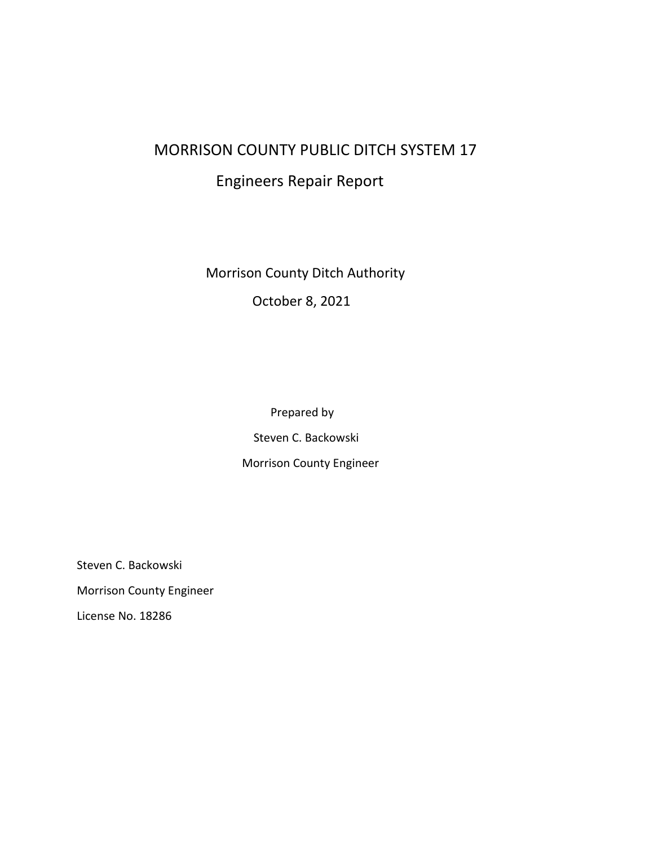# MORRISON COUNTY PUBLIC DITCH SYSTEM 17

# Engineers Repair Report

Morrison County Ditch Authority

October 8, 2021

 Prepared by Steven C. Backowski Morrison County Engineer

Steven C. Backowski Morrison County Engineer License No. 18286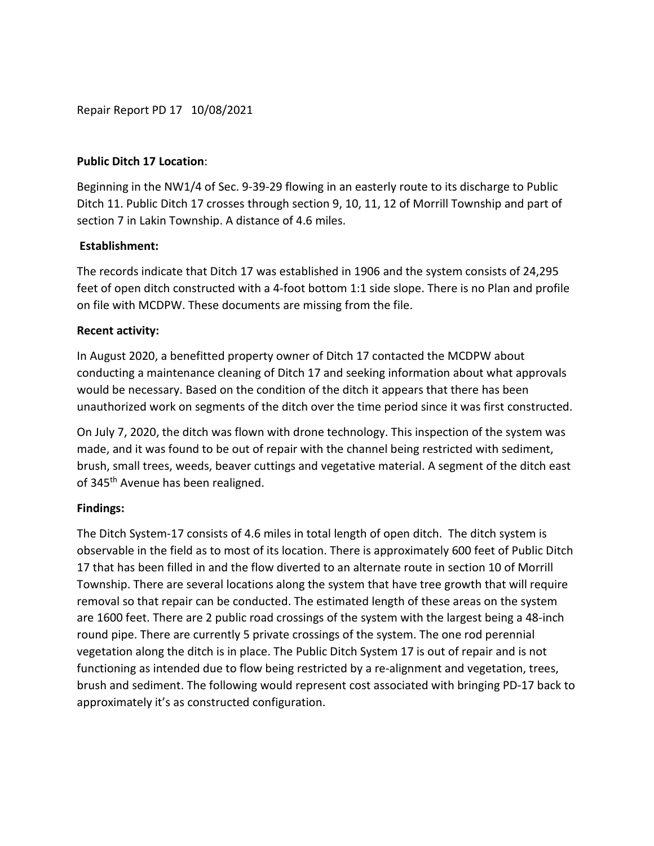Repair Report PD 17 10/08/2021

# **Public Ditch 17 Location**:

Beginning in the NW1/4 of Sec. 9-39-29 flowing in an easterly route to its discharge to Public Ditch 11. Public Ditch 17 crosses through section 9, 10, 11, 12 of Morrill Township and part of section 7 in Lakin Township. A distance of 4.6 miles.

# **Establishment:**

The records indicate that Ditch 17 was established in 1906 and the system consists of 24,295 feet of open ditch constructed with a 4-foot bottom 1:1 side slope. There is no Plan and profile on file with MCDPW. These documents are missing from the file.

# **Recent activity:**

In August 2020, a benefitted property owner of Ditch 17 contacted the MCDPW about conducting a maintenance cleaning of Ditch 17 and seeking information about what approvals would be necessary. Based on the condition of the ditch it appears that there has been unauthorized work on segments of the ditch over the time period since it was first constructed.

On July 7, 2020, the ditch was flown with drone technology. This inspection of the system was made, and it was found to be out of repair with the channel being restricted with sediment, brush, small trees, weeds, beaver cuttings and vegetative material. A segment of the ditch east of 345<sup>th</sup> Avenue has been realigned.

# **Findings:**

The Ditch System-17 consists of 4.6 miles in total length of open ditch. The ditch system is observable in the field as to most of its location. There is approximately 600 feet of Public Ditch 17 that has been filled in and the flow diverted to an alternate route in section 10 of Morrill Township. There are several locations along the system that have tree growth that will require removal so that repair can be conducted. The estimated length of these areas on the system are 1600 feet. There are 2 public road crossings of the system with the largest being a 48-inch round pipe. There are currently 5 private crossings of the system. The one rod perennial vegetation along the ditch is in place. The Public Ditch System 17 is out of repair and is not functioning as intended due to flow being restricted by a re-alignment and vegetation, trees, brush and sediment. The following would represent cost associated with bringing PD-17 back to approximately it's as constructed configuration.